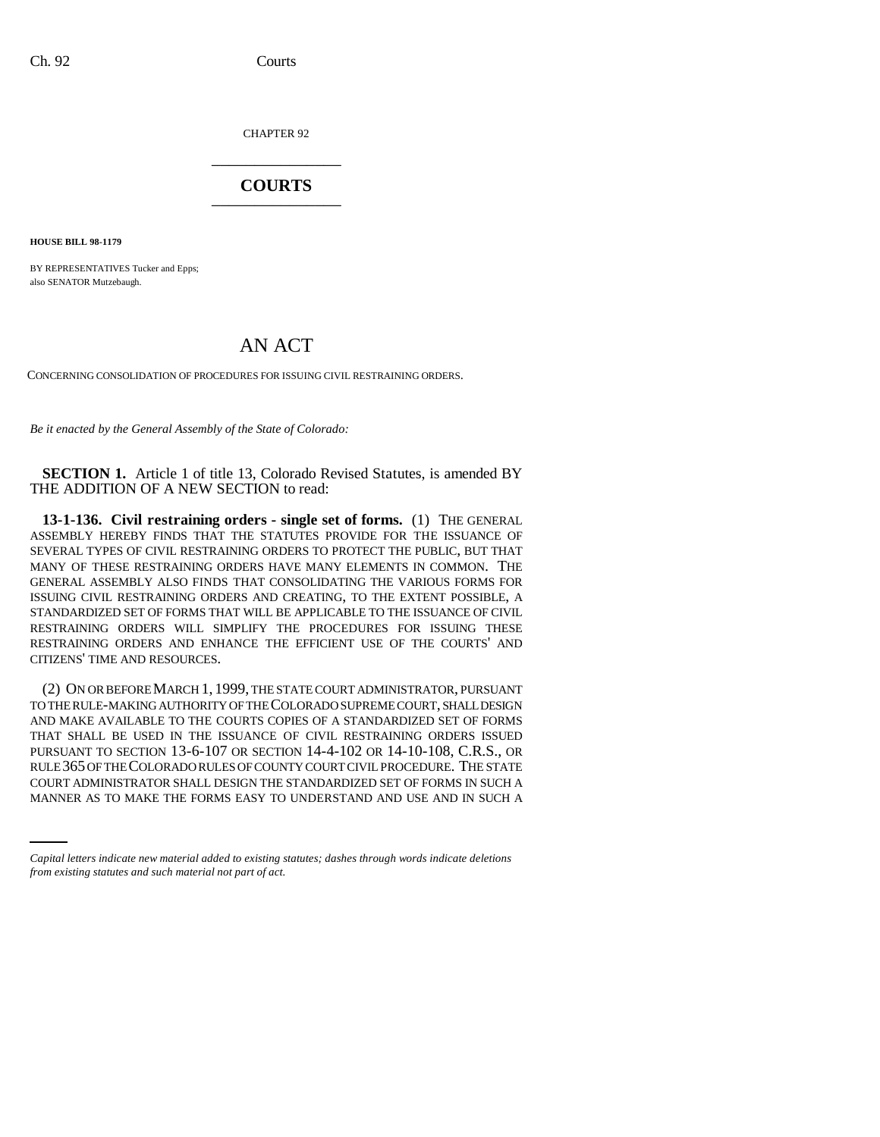CHAPTER 92 \_\_\_\_\_\_\_\_\_\_\_\_\_\_\_

## **COURTS** \_\_\_\_\_\_\_\_\_\_\_\_\_\_\_

**HOUSE BILL 98-1179**

BY REPRESENTATIVES Tucker and Epps; also SENATOR Mutzebaugh.

## AN ACT

CONCERNING CONSOLIDATION OF PROCEDURES FOR ISSUING CIVIL RESTRAINING ORDERS.

*Be it enacted by the General Assembly of the State of Colorado:*

**SECTION 1.** Article 1 of title 13, Colorado Revised Statutes, is amended BY THE ADDITION OF A NEW SECTION to read:

**13-1-136. Civil restraining orders - single set of forms.** (1) THE GENERAL ASSEMBLY HEREBY FINDS THAT THE STATUTES PROVIDE FOR THE ISSUANCE OF SEVERAL TYPES OF CIVIL RESTRAINING ORDERS TO PROTECT THE PUBLIC, BUT THAT MANY OF THESE RESTRAINING ORDERS HAVE MANY ELEMENTS IN COMMON. THE GENERAL ASSEMBLY ALSO FINDS THAT CONSOLIDATING THE VARIOUS FORMS FOR ISSUING CIVIL RESTRAINING ORDERS AND CREATING, TO THE EXTENT POSSIBLE, A STANDARDIZED SET OF FORMS THAT WILL BE APPLICABLE TO THE ISSUANCE OF CIVIL RESTRAINING ORDERS WILL SIMPLIFY THE PROCEDURES FOR ISSUING THESE RESTRAINING ORDERS AND ENHANCE THE EFFICIENT USE OF THE COURTS' AND CITIZENS' TIME AND RESOURCES.

RULE 365 OF THE COLORADO RULES OF COUNTY COURT CIVIL PROCEDURE. THE STATE (2) ON OR BEFORE MARCH 1, 1999, THE STATE COURT ADMINISTRATOR, PURSUANT TO THE RULE-MAKING AUTHORITY OF THE COLORADO SUPREME COURT, SHALL DESIGN AND MAKE AVAILABLE TO THE COURTS COPIES OF A STANDARDIZED SET OF FORMS THAT SHALL BE USED IN THE ISSUANCE OF CIVIL RESTRAINING ORDERS ISSUED PURSUANT TO SECTION 13-6-107 OR SECTION 14-4-102 OR 14-10-108, C.R.S., OR COURT ADMINISTRATOR SHALL DESIGN THE STANDARDIZED SET OF FORMS IN SUCH A MANNER AS TO MAKE THE FORMS EASY TO UNDERSTAND AND USE AND IN SUCH A

*Capital letters indicate new material added to existing statutes; dashes through words indicate deletions from existing statutes and such material not part of act.*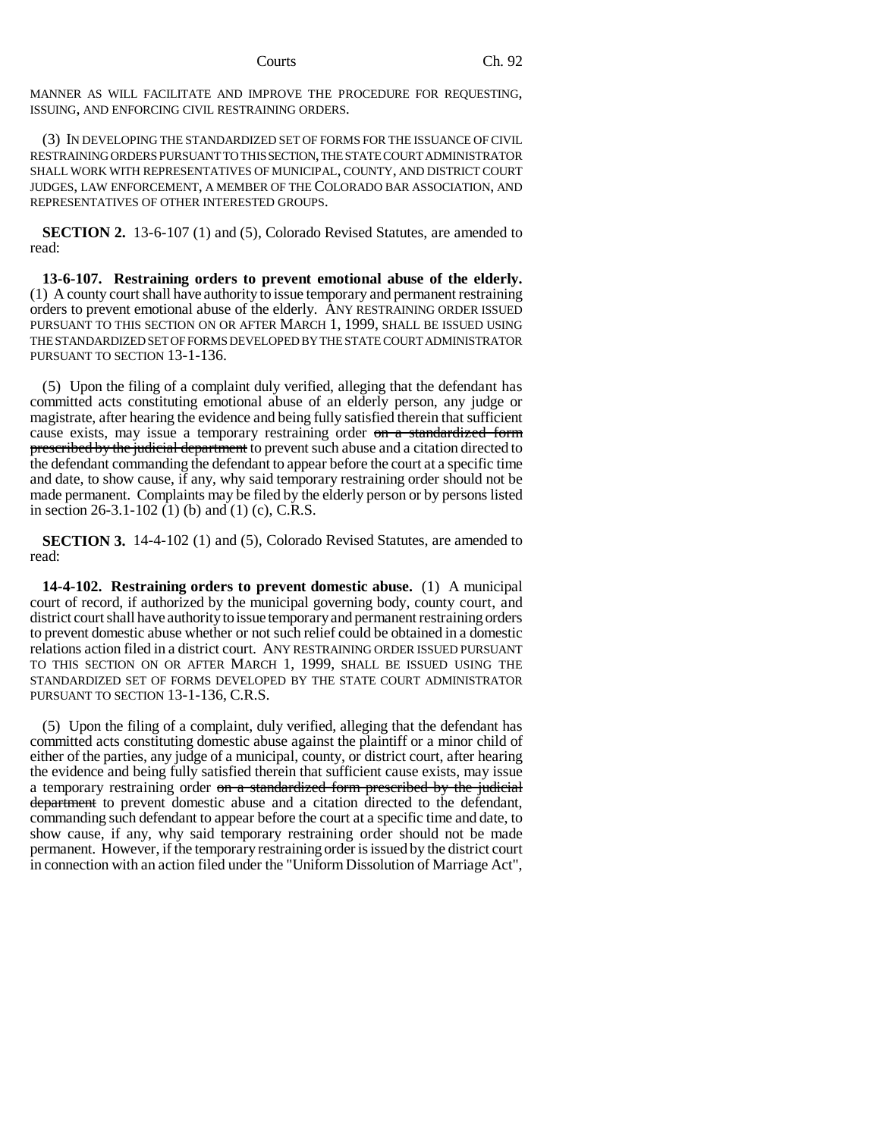MANNER AS WILL FACILITATE AND IMPROVE THE PROCEDURE FOR REQUESTING, ISSUING, AND ENFORCING CIVIL RESTRAINING ORDERS.

(3) IN DEVELOPING THE STANDARDIZED SET OF FORMS FOR THE ISSUANCE OF CIVIL RESTRAINING ORDERS PURSUANT TO THIS SECTION, THE STATE COURT ADMINISTRATOR SHALL WORK WITH REPRESENTATIVES OF MUNICIPAL, COUNTY, AND DISTRICT COURT JUDGES, LAW ENFORCEMENT, A MEMBER OF THE COLORADO BAR ASSOCIATION, AND REPRESENTATIVES OF OTHER INTERESTED GROUPS.

**SECTION 2.** 13-6-107 (1) and (5), Colorado Revised Statutes, are amended to read:

**13-6-107. Restraining orders to prevent emotional abuse of the elderly.** (1) A county court shall have authority to issue temporary and permanent restraining orders to prevent emotional abuse of the elderly. ANY RESTRAINING ORDER ISSUED PURSUANT TO THIS SECTION ON OR AFTER MARCH 1, 1999, SHALL BE ISSUED USING THE STANDARDIZED SET OF FORMS DEVELOPED BY THE STATE COURT ADMINISTRATOR PURSUANT TO SECTION 13-1-136.

(5) Upon the filing of a complaint duly verified, alleging that the defendant has committed acts constituting emotional abuse of an elderly person, any judge or magistrate, after hearing the evidence and being fully satisfied therein that sufficient cause exists, may issue a temporary restraining order on a standardized form prescribed by the judicial department to prevent such abuse and a citation directed to the defendant commanding the defendant to appear before the court at a specific time and date, to show cause, if any, why said temporary restraining order should not be made permanent. Complaints may be filed by the elderly person or by persons listed in section 26-3.1-102 (1) (b) and (1) (c), C.R.S.

**SECTION 3.** 14-4-102 (1) and (5), Colorado Revised Statutes, are amended to read:

**14-4-102. Restraining orders to prevent domestic abuse.** (1) A municipal court of record, if authorized by the municipal governing body, county court, and district court shall have authority to issue temporary and permanent restraining orders to prevent domestic abuse whether or not such relief could be obtained in a domestic relations action filed in a district court. ANY RESTRAINING ORDER ISSUED PURSUANT TO THIS SECTION ON OR AFTER MARCH 1, 1999, SHALL BE ISSUED USING THE STANDARDIZED SET OF FORMS DEVELOPED BY THE STATE COURT ADMINISTRATOR PURSUANT TO SECTION 13-1-136, C.R.S.

(5) Upon the filing of a complaint, duly verified, alleging that the defendant has committed acts constituting domestic abuse against the plaintiff or a minor child of either of the parties, any judge of a municipal, county, or district court, after hearing the evidence and being fully satisfied therein that sufficient cause exists, may issue a temporary restraining order on a standardized form prescribed by the judicial department to prevent domestic abuse and a citation directed to the defendant, commanding such defendant to appear before the court at a specific time and date, to show cause, if any, why said temporary restraining order should not be made permanent. However, if the temporary restraining order is issued by the district court in connection with an action filed under the "Uniform Dissolution of Marriage Act",